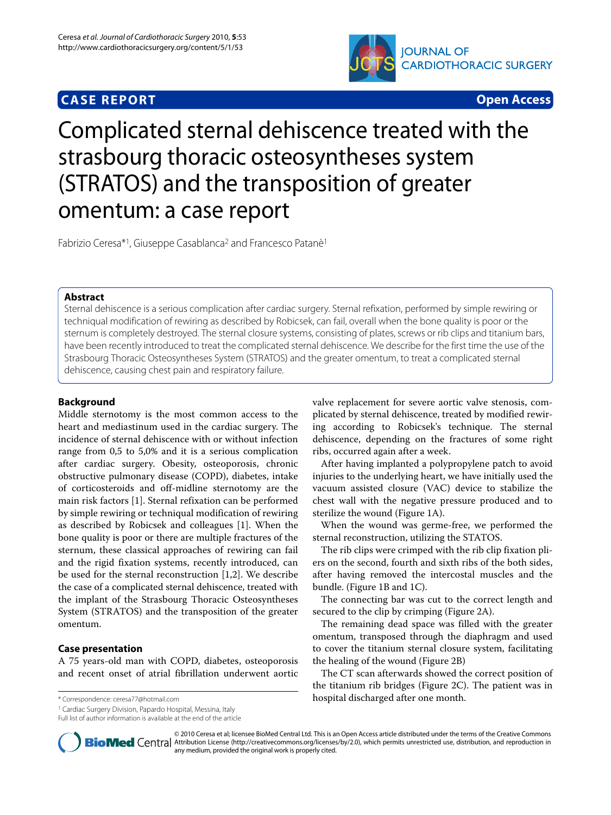# **CASE REPORT Open Access**



# Complicated sternal dehiscence treated with the strasbourg thoracic osteosyntheses system (STRATOS) and the transposition of greater omentum: a case report

Fabrizio Ceresa\*<sup>1</sup>, Giuseppe Casablanca<sup>2</sup> and Francesco Patanè<sup>1</sup>

# **Abstract**

Sternal dehiscence is a serious complication after cardiac surgery. Sternal refixation, performed by simple rewiring or techniqual modification of rewiring as described by Robicsek, can fail, overall when the bone quality is poor or the sternum is completely destroyed. The sternal closure systems, consisting of plates, screws or rib clips and titanium bars, have been recently introduced to treat the complicated sternal dehiscence. We describe for the first time the use of the Strasbourg Thoracic Osteosyntheses System (STRATOS) and the greater omentum, to treat a complicated sternal dehiscence, causing chest pain and respiratory failure.

# **Background**

Middle sternotomy is the most common access to the heart and mediastinum used in the cardiac surgery. The incidence of sternal dehiscence with or without infection range from 0,5 to 5,0% and it is a serious complication after cardiac surgery. Obesity, osteoporosis, chronic obstructive pulmonary disease (COPD), diabetes, intake of corticosteroids and off-midline sternotomy are the main risk factors [\[1](#page-2-0)]. Sternal refixation can be performed by simple rewiring or techniqual modification of rewiring as described by Robicsek and colleagues [\[1](#page-2-0)]. When the bone quality is poor or there are multiple fractures of the sternum, these classical approaches of rewiring can fail and the rigid fixation systems, recently introduced, can be used for the sternal reconstruction [\[1](#page-2-0)[,2](#page-2-1)]. We describe the case of a complicated sternal dehiscence, treated with the implant of the Strasbourg Thoracic Osteosyntheses System (STRATOS) and the transposition of the greater omentum.

## **Case presentation**

A 75 years-old man with COPD, diabetes, osteoporosis and recent onset of atrial fibrillation underwent aortic

1 Cardiac Surgery Division, Papardo Hospital, Messina, Italy

Full list of author information is available at the end of the article

valve replacement for severe aortic valve stenosis, complicated by sternal dehiscence, treated by modified rewiring according to Robicsek's technique. The sternal dehiscence, depending on the fractures of some right ribs, occurred again after a week.

After having implanted a polypropylene patch to avoid injuries to the underlying heart, we have initially used the vacuum assisted closure (VAC) device to stabilize the chest wall with the negative pressure produced and to sterilize the wound (Figure [1](#page-1-0)A).

When the wound was germe-free, we performed the sternal reconstruction, utilizing the STATOS.

The rib clips were crimped with the rib clip fixation pliers on the second, fourth and sixth ribs of the both sides, after having removed the intercostal muscles and the bundle. (Figure [1B](#page-1-0) and [1](#page-1-0)C).

The connecting bar was cut to the correct length and secured to the clip by crimping (Figure [2A](#page-1-1)).

The remaining dead space was filled with the greater omentum, transposed through the diaphragm and used to cover the titanium sternal closure system, facilitating the healing of the wound (Figure [2B](#page-1-1))

The CT scan afterwards showed the correct position of the titanium rib bridges (Figure [2C](#page-1-1)). The patient was in \* Correspondence: ceresa77@hotmail.com hospital discharged after one month.



© 2010 Ceresa et al; licensee BioMed Central Ltd. This is an Open Access article distributed under the terms of the Creative Commons **BioMed** Central Attribution License (http://creativecommons.org/licenses/by/2.0), which permits unrestricted use, distribution, and reproduction in any medium, provided the original work is properly cited.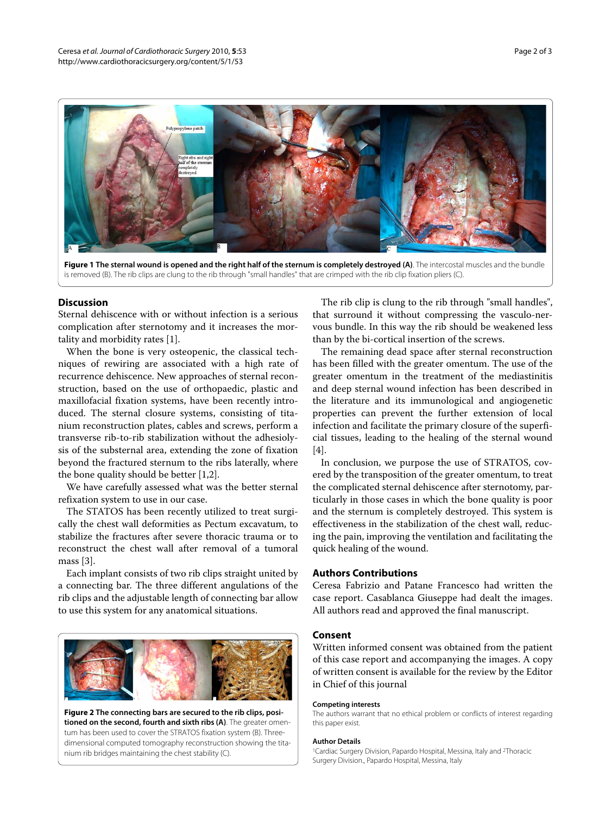<span id="page-1-0"></span>

**Figure 1 The sternal wound is opened and the right half of the sternum is completely destroyed (A)**. The intercostal muscles and the bundle is removed (B). The rib clips are clung to the rib through "small handles" that are crimped with the rib clip fixation pliers (C).

#### **Discussion**

Sternal dehiscence with or without infection is a serious complication after sternotomy and it increases the mortality and morbidity rates [\[1](#page-2-0)].

When the bone is very osteopenic, the classical techniques of rewiring are associated with a high rate of recurrence dehiscence. New approaches of sternal reconstruction, based on the use of orthopaedic, plastic and maxillofacial fixation systems, have been recently introduced. The sternal closure systems, consisting of titanium reconstruction plates, cables and screws, perform a transverse rib-to-rib stabilization without the adhesiolysis of the substernal area, extending the zone of fixation beyond the fractured sternum to the ribs laterally, where the bone quality should be better [[1](#page-2-0),[2\]](#page-2-1).

We have carefully assessed what was the better sternal refixation system to use in our case.

The STATOS has been recently utilized to treat surgically the chest wall deformities as Pectum excavatum, to stabilize the fractures after severe thoracic trauma or to reconstruct the chest wall after removal of a tumoral mass [[3](#page-2-2)].

Each implant consists of two rib clips straight united by a connecting bar. The three different angulations of the rib clips and the adjustable length of connecting bar allow to use this system for any anatomical situations.

<span id="page-1-1"></span>

**Figure 2 The connecting bars are secured to the rib clips, positioned on the second, fourth and sixth ribs (A)**. The greater omentum has been used to cover the STRATOS fixation system (B). Threedimensional computed tomography reconstruction showing the titanium rib bridges maintaining the chest stability (C).

The rib clip is clung to the rib through "small handles", that surround it without compressing the vasculo-nervous bundle. In this way the rib should be weakened less than by the bi-cortical insertion of the screws.

The remaining dead space after sternal reconstruction has been filled with the greater omentum. The use of the greater omentum in the treatment of the mediastinitis and deep sternal wound infection has been described in the literature and its immunological and angiogenetic properties can prevent the further extension of local infection and facilitate the primary closure of the superficial tissues, leading to the healing of the sternal wound [[4\]](#page-2-3).

In conclusion, we purpose the use of STRATOS, covered by the transposition of the greater omentum, to treat the complicated sternal dehiscence after sternotomy, particularly in those cases in which the bone quality is poor and the sternum is completely destroyed. This system is effectiveness in the stabilization of the chest wall, reducing the pain, improving the ventilation and facilitating the quick healing of the wound.

## **Authors Contributions**

Ceresa Fabrizio and Patane Francesco had written the case report. Casablanca Giuseppe had dealt the images. All authors read and approved the final manuscript.

#### **Consent**

Written informed consent was obtained from the patient of this case report and accompanying the images. A copy of written consent is available for the review by the Editor in Chief of this journal

#### **Competing interests**

The authors warrant that no ethical problem or conflicts of interest regarding this paper exist.

#### **Author Details**

<sup>1</sup>Cardiac Surgery Division, Papardo Hospital, Messina, Italy and <sup>2</sup>Thoracic Surgery Division., Papardo Hospital, Messina, Italy